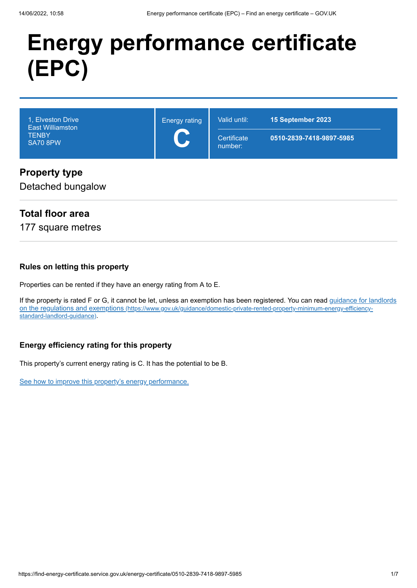# **Energy performance certificate (EPC)**

| 1, Elveston Drive<br><b>East Williamston</b><br><b>TENBY</b><br><b>SA70 8PW</b> | <b>Energy rating</b><br>$\overline{\phantom{a}}$ | Valid until:<br>Certificate<br>number: | 15 September 2023<br>0510-2839-7418-9897-5985 |
|---------------------------------------------------------------------------------|--------------------------------------------------|----------------------------------------|-----------------------------------------------|
| <b>Property type</b>                                                            |                                                  |                                        |                                               |

# Detached bungalow

# **Total floor area**

177 square metres

#### **Rules on letting this property**

Properties can be rented if they have an energy rating from A to E.

[If the property is rated F or G, it cannot be let, unless an exemption has been registered. You can read guidance for landlords](https://www.gov.uk/guidance/domestic-private-rented-property-minimum-energy-efficiency-standard-landlord-guidance) on the regulations and exemptions (https://www.gov.uk/guidance/domestic-private-rented-property-minimum-energy-efficiencystandard-landlord-guidance).

## **Energy efficiency rating for this property**

This property's current energy rating is C. It has the potential to be B.

[See how to improve this property's energy performance.](#page-3-0)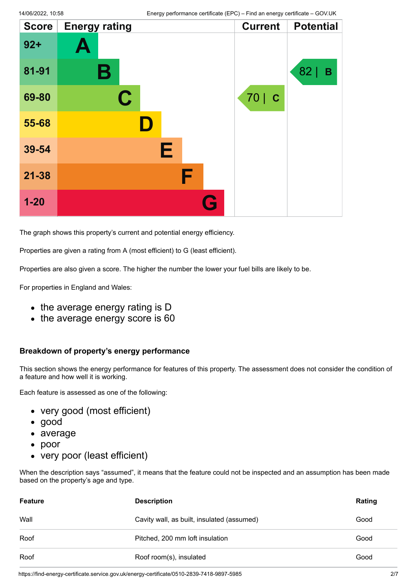| <b>Score</b> | <b>Energy rating</b> |   | <b>Current</b>    | <b>Potential</b> |
|--------------|----------------------|---|-------------------|------------------|
| $92 +$       | Ą                    |   |                   |                  |
| 81-91        | В                    |   |                   | 82<br>B          |
| 69-80        | $\mathbf C$          |   | 70<br>$\mathbf C$ |                  |
| 55-68        |                      |   |                   |                  |
| 39-54        |                      | Е |                   |                  |
| $21 - 38$    |                      | F |                   |                  |
| $1 - 20$     |                      |   |                   |                  |

The graph shows this property's current and potential energy efficiency.

Properties are given a rating from A (most efficient) to G (least efficient).

Properties are also given a score. The higher the number the lower your fuel bills are likely to be.

For properties in England and Wales:

- the average energy rating is D
- the average energy score is 60

#### **Breakdown of property's energy performance**

This section shows the energy performance for features of this property. The assessment does not consider the condition of a feature and how well it is working.

Each feature is assessed as one of the following:

- very good (most efficient)
- good
- average
- poor
- very poor (least efficient)

When the description says "assumed", it means that the feature could not be inspected and an assumption has been made based on the property's age and type.

| <b>Feature</b> | <b>Description</b>                         | Rating |
|----------------|--------------------------------------------|--------|
| Wall           | Cavity wall, as built, insulated (assumed) | Good   |
| Roof           | Pitched, 200 mm loft insulation            | Good   |
| Roof           | Roof room(s), insulated                    | Good   |

https://find-energy-certificate.service.gov.uk/energy-certificate/0510-2839-7418-9897-5985 2/7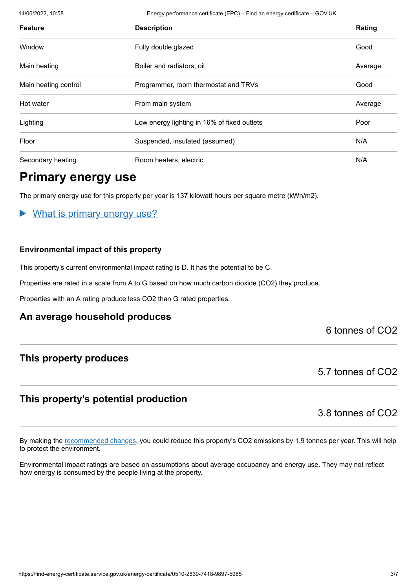14/06/2022, 10:58 Energy performance certificate (EPC) – Find an energy certificate – GOV.UK

| <b>Feature</b>       | <b>Description</b>                          | Rating  |
|----------------------|---------------------------------------------|---------|
| Window               | Fully double glazed                         | Good    |
| Main heating         | Boiler and radiators, oil                   | Average |
| Main heating control | Programmer, room thermostat and TRVs        | Good    |
| Hot water            | From main system                            | Average |
| Lighting             | Low energy lighting in 16% of fixed outlets | Poor    |
| Floor                | Suspended, insulated (assumed)              | N/A     |
| Secondary heating    | Room heaters, electric                      | N/A     |

# **Primary energy use**

The primary energy use for this property per year is 137 kilowatt hours per square metre (kWh/m2).

## What is primary energy use?

#### **Environmental impact of this property**

This property's current environmental impact rating is D. It has the potential to be C.

Properties are rated in a scale from A to G based on how much carbon dioxide (CO2) they produce.

Properties with an A rating produce less CO2 than G rated properties.

## **An average household produces**

## 6 tonnes of CO2

# **This property produces**

5.7 tonnes of CO2

# **This property's potential production**

3.8 tonnes of CO2

By making the [recommended changes](#page-3-0), you could reduce this property's CO2 emissions by 1.9 tonnes per year. This will help to protect the environment.

Environmental impact ratings are based on assumptions about average occupancy and energy use. They may not reflect how energy is consumed by the people living at the property.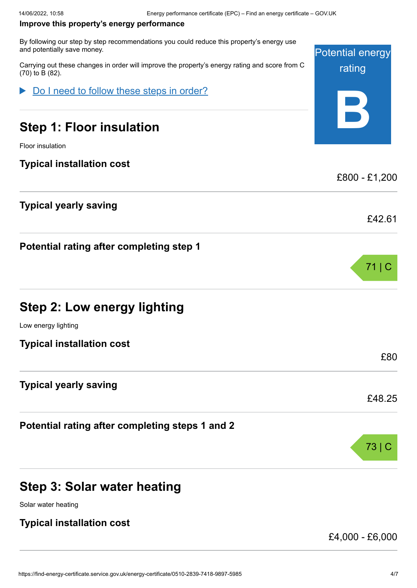#### <span id="page-3-0"></span>**Improve this property's energy performance**

By following our step by step recommendations you could reduce this property's energy u and potentially save money.

Carrying out these changes in order will improve the property's energy rating and score from (70) to B (82).

Do I need to follow these steps in order?

# **Step 1: Floor insulation**

Floor insulation

#### **Typical installation cost**

# **Typical yearly saving**

**Potential rating after completing step 1**

|  |  |  | <b>Step 2: Low energy lighting</b> |
|--|--|--|------------------------------------|
|--|--|--|------------------------------------|

Low energy lighting

**Typical installation cost**

## **Typical yearly saving**

**Potential rating after completing steps 1 and 2**

# **Step 3: Solar water heating**

Solar water heating

## **Typical installation cost**

£4,000 - £6,000

| ıse  | <b>Potential energy</b> |
|------|-------------------------|
| om C | rating                  |
|      |                         |
|      | £800 - £1,200           |
|      | £42.61                  |
|      |                         |
|      | 71   C                  |

£80

£48.25

73 | C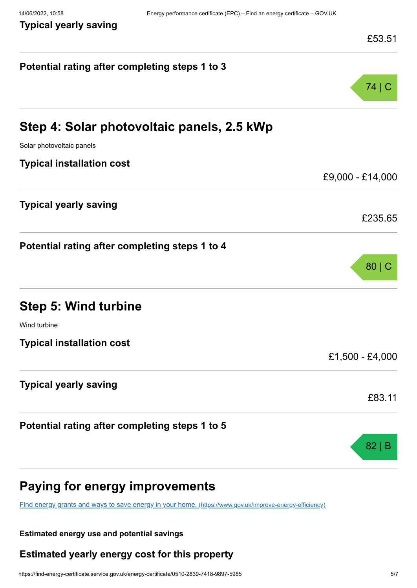**Typical yearly saving**

**Potential rating after completing steps 1 to 3**

| £53.51 |
|--------|
| 74   C |

| Step 4: Solar photovoltaic panels, 2.5 kWp     |                  |
|------------------------------------------------|------------------|
| Solar photovoltaic panels                      |                  |
| <b>Typical installation cost</b>               |                  |
|                                                | £9,000 - £14,000 |
| <b>Typical yearly saving</b>                   |                  |
|                                                | £235.65          |
| Potential rating after completing steps 1 to 4 |                  |
|                                                | 80   C           |
| <b>Step 5: Wind turbine</b>                    |                  |
| Wind turbine                                   |                  |
| <b>Typical installation cost</b>               |                  |
|                                                | £1,500 - £4,000  |
| <b>Typical yearly saving</b>                   |                  |
|                                                | £83.11           |
| Potential rating after completing steps 1 to 5 |                  |
|                                                | 82 B             |
|                                                |                  |

# **Paying for energy improvements**

[Find energy grants and ways to save energy in your home.](https://www.gov.uk/improve-energy-efficiency) (https://www.gov.uk/improve-energy-efficiency)

#### **Estimated energy use and potential savings**

# **Estimated yearly energy cost for this property**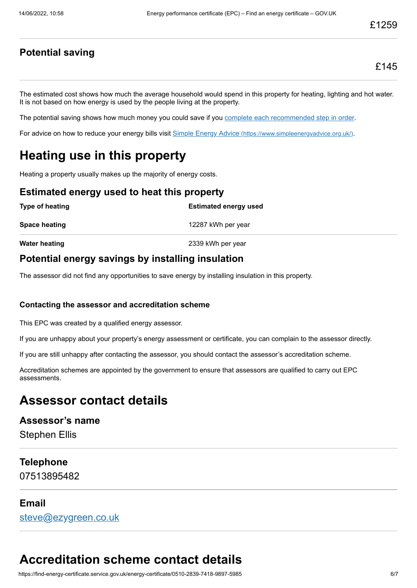# **Potential saving**

The estimated cost shows how much the average household would spend in this property for heating, lighting and hot water. It is not based on how energy is used by the people living at the property.

The potential saving shows how much money you could save if you [complete each recommended step in order](#page-3-0).

For advice on how to reduce your energy bills visit Simple Energy Advice [\(https://www.simpleenergyadvice.org.uk/\)](https://www.simpleenergyadvice.org.uk/).

# **Heating use in this property**

Heating a property usually makes up the majority of energy costs.

#### **Estimated energy used to heat this property**

| Type of heating      | <b>Estimated energy used</b> |
|----------------------|------------------------------|
| Space heating        | 12287 kWh per year           |
| <b>Water heating</b> | 2339 kWh per year            |

# **Potential energy savings by installing insulation**

The assessor did not find any opportunities to save energy by installing insulation in this property.

#### **Contacting the assessor and accreditation scheme**

This EPC was created by a qualified energy assessor.

If you are unhappy about your property's energy assessment or certificate, you can complain to the assessor directly.

If you are still unhappy after contacting the assessor, you should contact the assessor's accreditation scheme.

Accreditation schemes are appointed by the government to ensure that assessors are qualified to carry out EPC assessments.

# **Assessor contact details**

# **Assessor's name**

Stephen Ellis

## **Telephone**

07513895482

## **Email**

[steve@ezygreen.co.uk](mailto:steve@ezygreen.co.uk)

# **Accreditation scheme contact details**